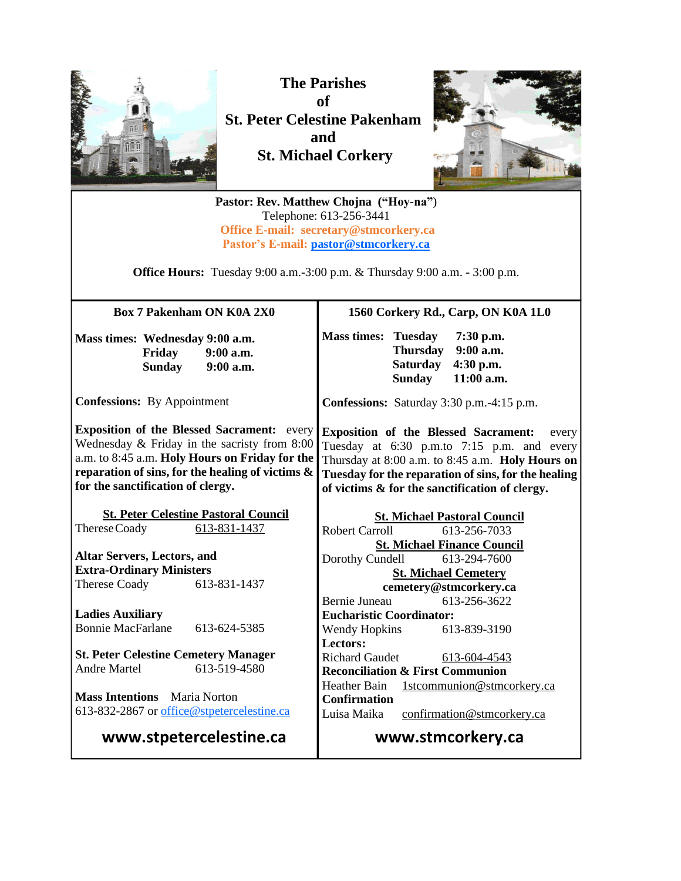

**The Parishes of St. Peter Celestine Pakenham and St. Michael Corkery**



**Pastor: Rev. Matthew Chojna ("Hoy-na"**) Telephone: 613-256-3441 **Office E-mail: secretary@stmcorkery.ca Pastor's E-mail: [pastor@stmcorkery.ca](mailto:pastor@stmcorkery.ca)**

**Office Hours:** Tuesday 9:00 a.m.-3:00 p.m. & Thursday 9:00 a.m. - 3:00 p.m.

| <b>Box 7 Pakenham ON K0A 2X0</b>                                                                                                                                                                                                             |                                 | 1560 Corkery Rd., Carp, ON K0A 1L0                                                                                                                                                                                                                              |                                       |                                                     |
|----------------------------------------------------------------------------------------------------------------------------------------------------------------------------------------------------------------------------------------------|---------------------------------|-----------------------------------------------------------------------------------------------------------------------------------------------------------------------------------------------------------------------------------------------------------------|---------------------------------------|-----------------------------------------------------|
| Mass times: Wednesday 9:00 a.m.<br>Friday                                                                                                                                                                                                    | $9:00$ a.m.<br>Sunday 9:00 a.m. | <b>Mass times: Tuesday</b>                                                                                                                                                                                                                                      | Thursday<br><b>Saturday</b><br>Sunday | 7:30 p.m.<br>$9:00$ a.m.<br>4:30 p.m.<br>11:00 a.m. |
| <b>Confessions:</b> By Appointment                                                                                                                                                                                                           |                                 | Confessions: Saturday 3:30 p.m.-4:15 p.m.                                                                                                                                                                                                                       |                                       |                                                     |
| <b>Exposition of the Blessed Sacrament:</b> every<br>Wednesday & Friday in the sacristy from 8:00<br>a.m. to 8:45 a.m. Holy Hours on Friday for the<br>reparation of sins, for the healing of victims &<br>for the sanctification of clergy. |                                 | <b>Exposition of the Blessed Sacrament:</b><br>every<br>Tuesday at 6:30 p.m.to 7:15 p.m. and every<br>Thursday at 8:00 a.m. to 8:45 a.m. Holy Hours on<br>Tuesday for the reparation of sins, for the healing<br>of victims & for the sanctification of clergy. |                                       |                                                     |
| <b>St. Peter Celestine Pastoral Council</b>                                                                                                                                                                                                  |                                 | <b>St. Michael Pastoral Council</b>                                                                                                                                                                                                                             |                                       |                                                     |
| Therese Coady                                                                                                                                                                                                                                | 613-831-1437                    | <b>Robert Carroll</b>                                                                                                                                                                                                                                           |                                       | 613-256-7033                                        |
|                                                                                                                                                                                                                                              |                                 |                                                                                                                                                                                                                                                                 |                                       | <b>St. Michael Finance Council</b>                  |
| <b>Altar Servers, Lectors, and</b>                                                                                                                                                                                                           |                                 | Dorothy Cundell 613-294-7600                                                                                                                                                                                                                                    |                                       |                                                     |
| <b>Extra-Ordinary Ministers</b>                                                                                                                                                                                                              |                                 | <b>St. Michael Cemetery</b>                                                                                                                                                                                                                                     |                                       |                                                     |
| Therese Coady                                                                                                                                                                                                                                | 613-831-1437                    | cemetery@stmcorkery.ca                                                                                                                                                                                                                                          |                                       |                                                     |
|                                                                                                                                                                                                                                              |                                 | Bernie Juneau                                                                                                                                                                                                                                                   |                                       | 613-256-3622                                        |
| <b>Ladies Auxiliary</b>                                                                                                                                                                                                                      |                                 | <b>Eucharistic Coordinator:</b>                                                                                                                                                                                                                                 |                                       |                                                     |
| <b>Bonnie MacFarlane</b>                                                                                                                                                                                                                     | 613-624-5385                    | <b>Wendy Hopkins</b>                                                                                                                                                                                                                                            |                                       | 613-839-3190                                        |
|                                                                                                                                                                                                                                              |                                 | Lectors:                                                                                                                                                                                                                                                        |                                       |                                                     |
| <b>St. Peter Celestine Cemetery Manager</b>                                                                                                                                                                                                  |                                 | <b>Richard Gaudet</b>                                                                                                                                                                                                                                           |                                       | 613-604-4543                                        |
| <b>Andre Martel</b>                                                                                                                                                                                                                          | 613-519-4580                    | <b>Reconciliation &amp; First Communion</b>                                                                                                                                                                                                                     |                                       |                                                     |
|                                                                                                                                                                                                                                              |                                 | <b>Heather Bain</b>                                                                                                                                                                                                                                             |                                       | 1stcommunion@stmcorkery.ca                          |
| <b>Mass Intentions</b> Maria Norton                                                                                                                                                                                                          |                                 | <b>Confirmation</b>                                                                                                                                                                                                                                             |                                       |                                                     |
| 613-832-2867 or office@stpetercelestine.ca                                                                                                                                                                                                   |                                 | Luisa Maika                                                                                                                                                                                                                                                     |                                       | confirmation@stmcorkery.ca                          |
| www.stpetercelestine.ca                                                                                                                                                                                                                      | www.stmcorkery.ca               |                                                                                                                                                                                                                                                                 |                                       |                                                     |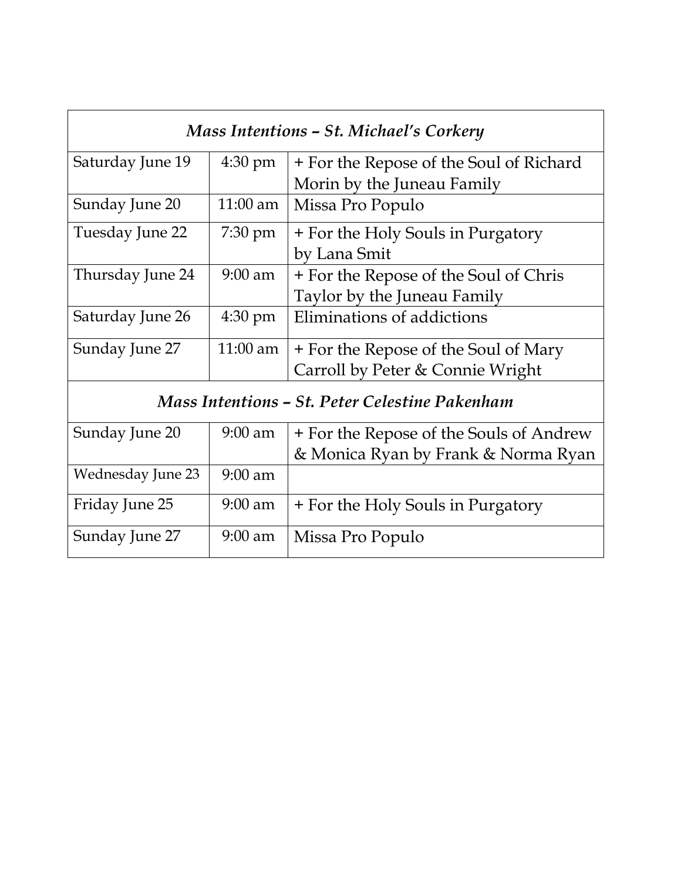| Mass Intentions - St. Michael's Corkery        |                   |                                         |  |  |
|------------------------------------------------|-------------------|-----------------------------------------|--|--|
| Saturday June 19                               | $4:30 \text{ pm}$ | + For the Repose of the Soul of Richard |  |  |
|                                                |                   | Morin by the Juneau Family              |  |  |
| Sunday June 20                                 | $11:00$ am        | Missa Pro Populo                        |  |  |
| Tuesday June 22                                | $7:30 \text{ pm}$ | + For the Holy Souls in Purgatory       |  |  |
|                                                |                   | by Lana Smit                            |  |  |
| Thursday June 24                               | $9:00$ am         | + For the Repose of the Soul of Chris   |  |  |
|                                                |                   | Taylor by the Juneau Family             |  |  |
| Saturday June 26                               | $4:30 \text{ pm}$ | Eliminations of addictions              |  |  |
| Sunday June 27                                 | 11:00 am          | + For the Repose of the Soul of Mary    |  |  |
|                                                |                   | Carroll by Peter & Connie Wright        |  |  |
| Mass Intentions – St. Peter Celestine Pakenham |                   |                                         |  |  |
| Sunday June 20                                 | $9:00$ am         | + For the Repose of the Souls of Andrew |  |  |
|                                                |                   | & Monica Ryan by Frank & Norma Ryan     |  |  |
| Wednesday June 23                              | $9:00$ am         |                                         |  |  |
| Friday June 25                                 | $9:00$ am         | + For the Holy Souls in Purgatory       |  |  |
| Sunday June 27                                 | $9:00$ am         | Missa Pro Populo                        |  |  |